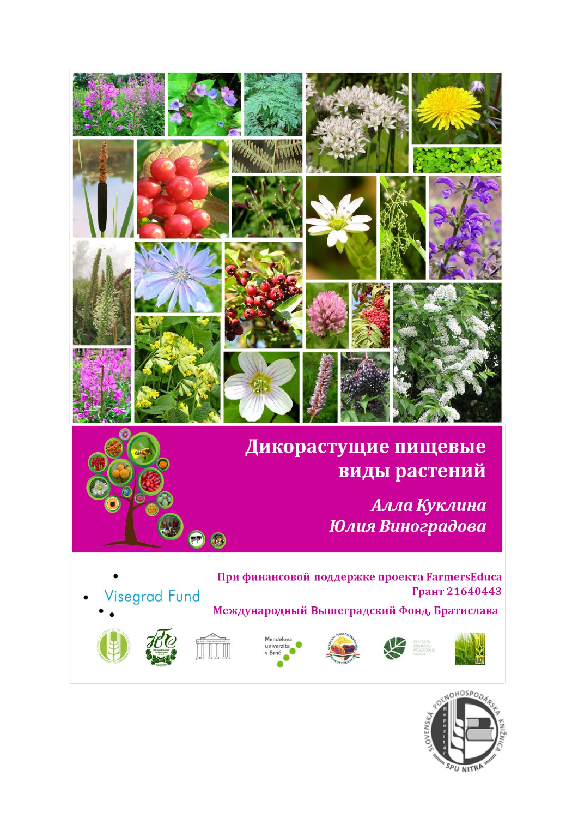

### Дикорастущие пищевые **виды растений**

Алла Куклина Юлия Виноградова



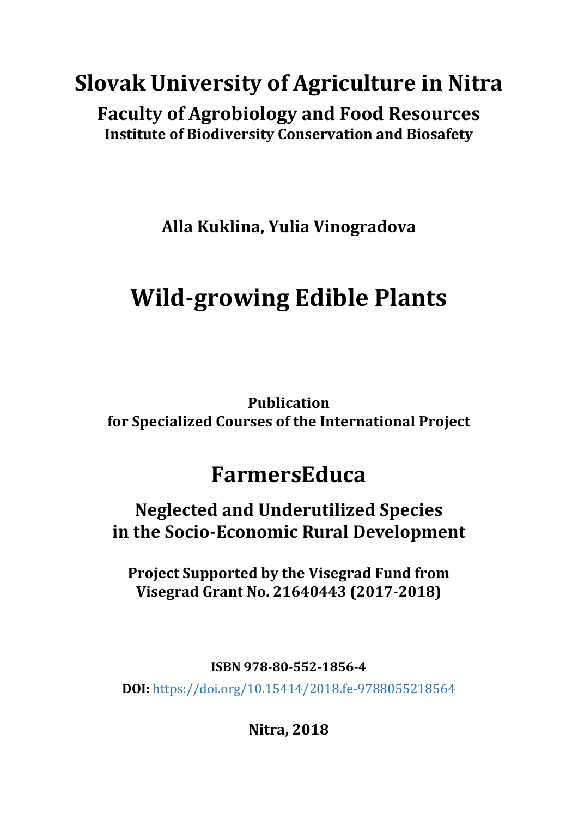## **Slovak University of Agriculture in Nitra Faculty of Agrobiology and Food Resources Institute of Biodiversity Conservation and Biosafety**

**Alla Kuklina, Yulia Vinogradova**

# **Wild-growing Edible Plants**

**Publication for Specialized Courses of the International Project**

## **FarmersEduca**

**Neglected and Underutilized Species in the Socio-Economic Rural Development**

**Project Supported by the Visegrad Fund from Visegrad Grant No. 21640443 (2017-2018)**

**ISBN 978-80-552-1856-4** 

**DOI:** <https://doi.org/10.15414/2018.fe-9788055218564>

**Nitra, 2018**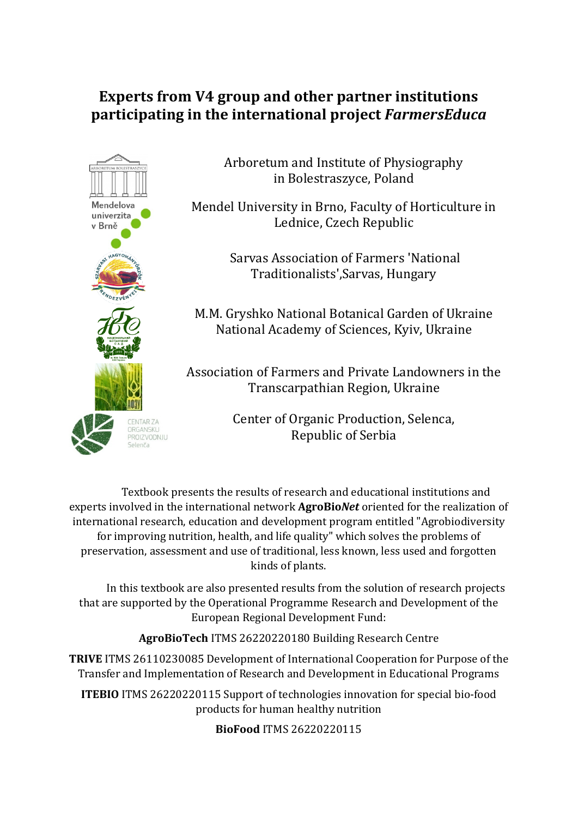#### **Experts from V4 group and other partner institutions participating in the international project** *FarmersEduca*



Arboretum and Institute of Physiography in Bolestraszyce, Poland

Mendel University in Brno, Faculty of Horticulture in Lednice, Czech Republic

> Sarvas Association of Farmers 'National Traditionalists',Sarvas, Hungary

M.M. Gryshko National Botanical Garden of Ukraine National Academy of Sciences, Kyiv, Ukraine

Association of Farmers and Private Landowners in the Transcarpathian Region, Ukraine

> Center of Organic Production, Selenca, Republic of Serbia

Textbook presents the results of research and educational institutions and experts involved in the international network **AgroBio***Net* oriented for the realization of international research, education and development program entitled "Agrobiodiversity for improving nutrition, health, and life quality" which solves the problems of preservation, assessment and use of traditional, less known, less used and forgotten kinds of plants.

In this textbook are also presented results from the solution of research projects that are supported by the Operational Programme Research and Development of the European Regional Development Fund:

**AgroBioTech** ITMS 26220220180 Building Research Centre

**TRIVE** ITMS 26110230085 Development of International Cooperation for Purpose of the Transfer and Implementation of Research and Development in Educational Programs

**ITEBIO** ITMS 26220220115 Support of technologies innovation for special bio-food products for human healthy nutrition

**BioFood** ITMS 26220220115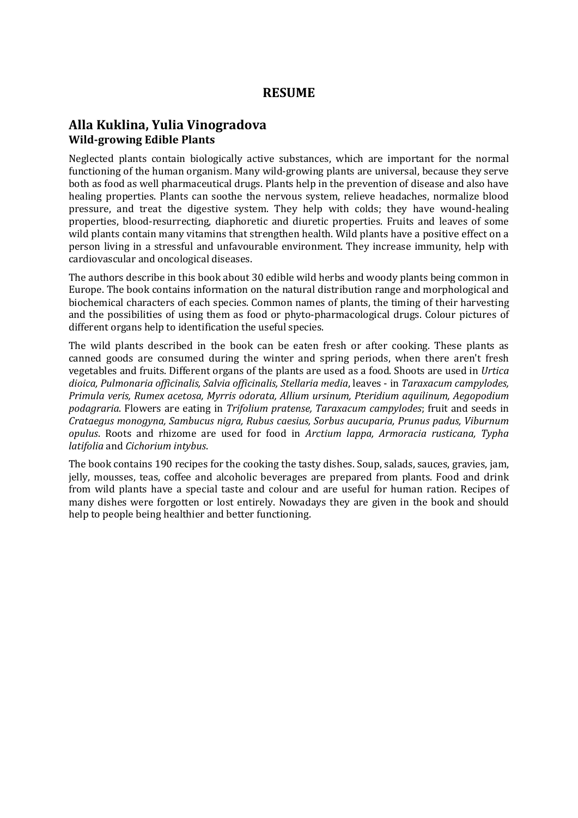#### **Alla Kuklina, Yulia Vinogradova Wild-growing Edible Plants**

Neglected plants contain biologically active substances, which are important for the normal functioning of the human organism. Many wild-growing plants are universal, because they serve both as food as well pharmaceutical drugs. Plants help in the prevention of disease and also have healing properties. Plants can soothe the nervous system, relieve headaches, normalize blood pressure, and treat the digestive system. They help with colds; they have wound-healing properties, blood-resurrecting, diaphoretic and diuretic properties. Fruits and leaves of some wild plants contain many vitamins that strengthen health. Wild plants have a positive effect on a person living in a stressful and unfavourable environment. They increase immunity, help with cardiovascular and oncological diseases.

The authors describe in this book about 30 edible wild herbs and woody plants being common in Europe. The book contains information on the natural distribution range and morphological and biochemical characters of each species. Common names of plants, the timing of their harvesting and the possibilities of using them as food or phyto-pharmacological drugs. Colour pictures of different organs help to identification the useful species.

The wild plants described in the book can be eaten fresh or after cooking. These plants as canned goods are consumed during the winter and spring periods, when there aren't fresh vegetables and fruits. Different organs of the plants are used as a food. Shoots are used in *Urtica dioica, Pulmonaria officinalis, Salvia officinalis, Stellaria media*, leaves - in *Taraxacum campylodes, Primula veris, Rumex acetosa, Myrris odorata, Allium ursinum, Pteridium aquilinum, Aegopodium podagraria*. Flowers are eating in *Trifolium pratense, Taraxacum campylodes*; fruit and seeds in *Crataegus monogyna, Sambucus nigrа, Rubus caesius, Sorbus aucuparia, Prunus padus, Viburnum opulus*. Roots and rhizome are used for food in *Arctium lappa, Armoracia rusticana, Typha latifolia* and *Cichorium intybus*.

The book contains 190 recipes for the cooking the tasty dishes. Soup, salads, sauces, gravies, jam, jelly, mousses, teas, coffee and alcoholic beverages are prepared from plants. Food and drink from wild plants have a special taste and colour and are useful for human ration. Recipes of many dishes were forgotten or lost entirely. Nowadays they are given in the book and should help to people being healthier and better functioning.